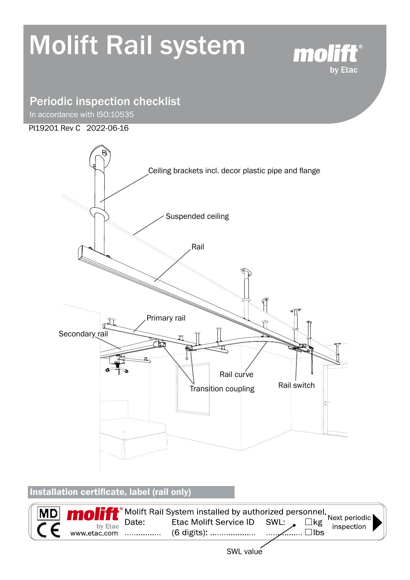# Molift Rail system



# Periodic inspection checklist

In accordance with ISO:10535

#### PI19201 Rev C 2022-06-16



Installation certificate, label (rail only)

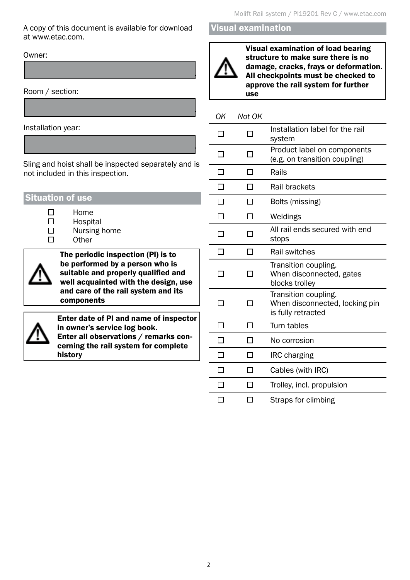A copy of this document is available for download at www.etac.com.

........................................................................................

........................................................................................

Owner:

Room / section:

Installation year:

Sling and hoist shall be inspected separately and is not included in this inspection.

........................................................................................

| <b>Situation of use</b> |  |
|-------------------------|--|
|                         |  |

 $\Box$ 

- Home Hospital
- Nursing home
	- **Other**



The periodic inspection (PI) is to be performed by a person who is suitable and properly qualified and well acquainted with the design, use and care of the rail system and its components



Enter date of PI and name of inspector in owner's service log book. Enter all observations / remarks concerning the rail system for complete history

#### Visual examination



Visual examination of load bearing structure to make sure there is no damage, cracks, frays or deformation. All checkpoints must be checked to approve the rail system for further use

#### *OK Not OK*

|  | Installation label for the rail<br>system                                    |  |
|--|------------------------------------------------------------------------------|--|
|  | Product label on components<br>(e.g. on transition coupling)                 |  |
|  | Rails                                                                        |  |
|  | Rail brackets                                                                |  |
|  | Bolts (missing)                                                              |  |
|  | Weldings                                                                     |  |
|  | All rail ends secured with end<br>stops                                      |  |
|  | Rail switches                                                                |  |
|  | Transition coupling.<br>When disconnected, gates<br>blocks trolley           |  |
|  | Transition coupling.<br>When disconnected, locking pin<br>is fully retracted |  |
|  | Turn tables                                                                  |  |
|  | No corrosion                                                                 |  |
|  | <b>IRC</b> charging                                                          |  |
|  | Cables (with IRC)                                                            |  |
|  | Trolley, incl. propulsion                                                    |  |
|  | Straps for climbing                                                          |  |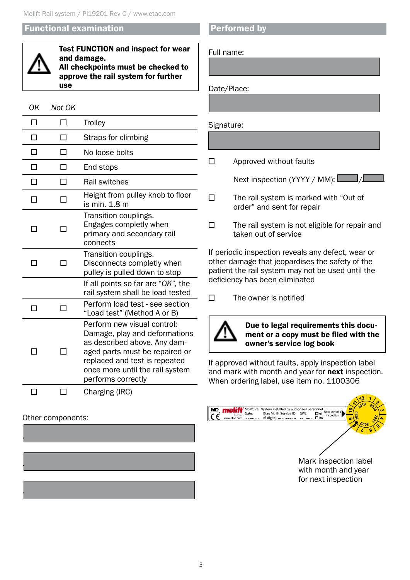#### Functional examination



Test FUNCTION and inspect for wear and damage. All checkpoints must be checked to approve the rail system for further use

#### *OK Not OK*  $\Box$  $\Box$ **Trolley**  $\Box$  $\Box$ Straps for climbing

|  | No loose bolts                                                                                                                                                                                                           |  |
|--|--------------------------------------------------------------------------------------------------------------------------------------------------------------------------------------------------------------------------|--|
|  | End stops                                                                                                                                                                                                                |  |
|  | <b>Rail switches</b>                                                                                                                                                                                                     |  |
|  | Height from pulley knob to floor<br>is min. 1.8 m                                                                                                                                                                        |  |
|  | Transition couplings.<br>Engages completly when<br>primary and secondary rail<br>connects                                                                                                                                |  |
|  | Transition couplings.<br>Disconnects completly when<br>pulley is pulled down to stop                                                                                                                                     |  |
|  | If all points so far are "OK", the<br>rail system shall be load tested                                                                                                                                                   |  |
|  | Perform load test - see section<br>"Load test" (Method A or B)                                                                                                                                                           |  |
|  | Perform new visual control;<br>Damage, play and deformations<br>as described above. Any dam-<br>aged parts must be repaired or<br>replaced and test is repeated<br>once more until the rail system<br>performs correctly |  |
|  | Charging (IRC)                                                                                                                                                                                                           |  |

#### Other components:



#### Performed by

Full name:

Date/Place:

Signature:

 $\Box$  Approved without faults

Next inspection (YYYY / MM):  $\boxed{\phantom{a} \phantom{\a} }$ 

 $\square$  The rail system is marked with "Out of order" and sent for repair

......................................................................................

......................................................................................

......................................................................................

 $\square$  The rail system is not eligible for repair and taken out of service

If periodic inspection reveals any defect, wear or other damage that jeopardises the safety of the patient the rail system may not be used until the deficiency has been eliminated

 $\Box$ The owner is notified



Due to legal requirements this document or a copy must be filed with the owner's service log book

If approved without faults, apply inspection label and mark with month and year for next inspection. When ordering label, use item no. 1100306

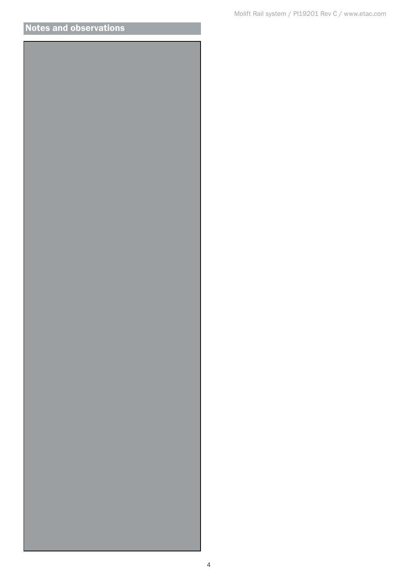## Notes and observations

......................................................................................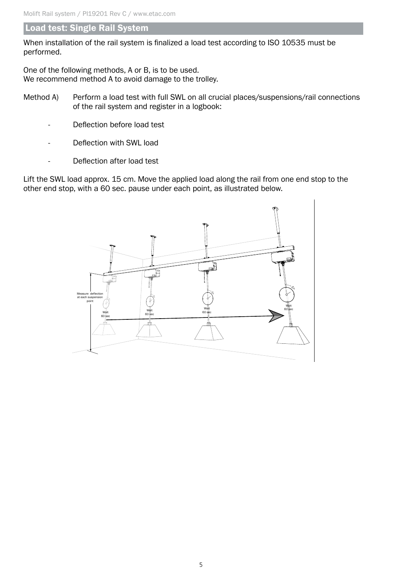#### Load test: Single Rail System

When installation of the rail system is finalized a load test according to ISO 10535 must be performed.

One of the following methods, A or B, is to be used. We recommend method A to avoid damage to the trolley.

- Method A) Perform a load test with full SWL on all crucial places/suspensions/rail connections of the rail system and register in a logbook:
	- Deflection before load test
	- Deflection with SWL load
	- Deflection after load test

Lift the SWL load approx. 15 cm. Move the applied load along the rail from one end stop to the other end stop, with a 60 sec. pause under each point, as illustrated below.

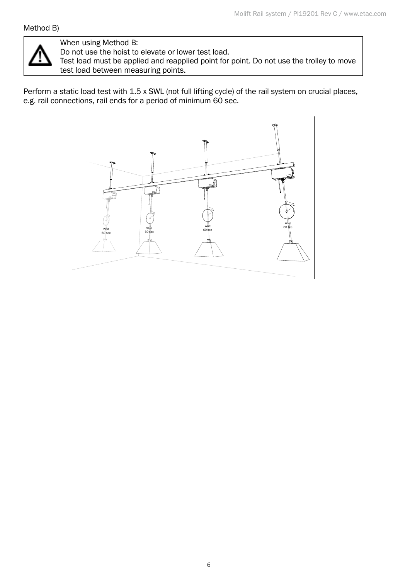#### Method B)



#### When using Method B:

Do not use the hoist to elevate or lower test load.

Test load must be applied and reapplied point for point. Do not use the trolley to move test load between measuring points.

Perform a static load test with 1.5 x SWL (not full lifting cycle) of the rail system on crucial places, e.g. rail connections, rail ends for a period of minimum 60 sec.

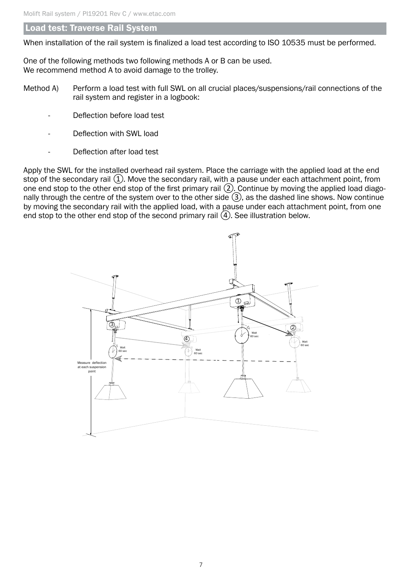#### Load test: Traverse Rail System

When installation of the rail system is finalized a load test according to ISO 10535 must be performed.

One of the following methods two following methods A or B can be used. We recommend method A to avoid damage to the trolley.

- Method A) Perform a load test with full SWL on all crucial places/suspensions/rail connections of the rail system and register in a logbook:
	- Deflection before load test
	- Deflection with SWL load
	- Deflection after load test

Apply the SWL for the installed overhead rail system. Place the carriage with the applied load at the end stop of the secondary rail  $(1)$ . Move the secondary rail, with a pause under each attachment point, from one end stop to the other end stop of the first primary rail ②. Continue by moving the applied load diagonally through the centre of the system over to the other side ③, as the dashed line shows. Now continue by moving the secondary rail with the applied load, with a pause under each attachment point, from one end stop to the other end stop of the second primary rail  $\overline{4}$ . See illustration below.

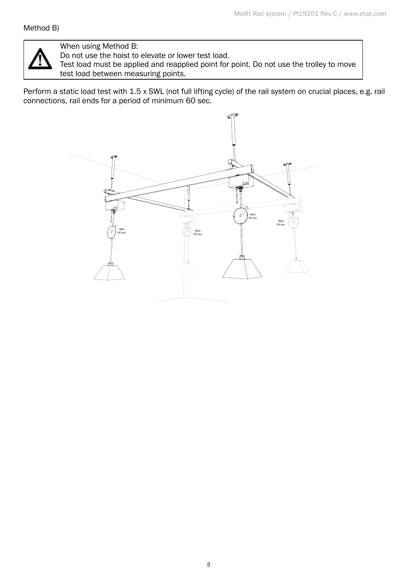

### When using Method B:

Do not use the hoist to elevate or lower test load.

Test load must be applied and reapplied point for point. Do not use the trolley to move test load between measuring points.

Perform a static load test with 1.5 x SWL (not full lifting cycle) of the rail system on crucial places, e.g. rail connections, rail ends for a period of minimum 60 sec.